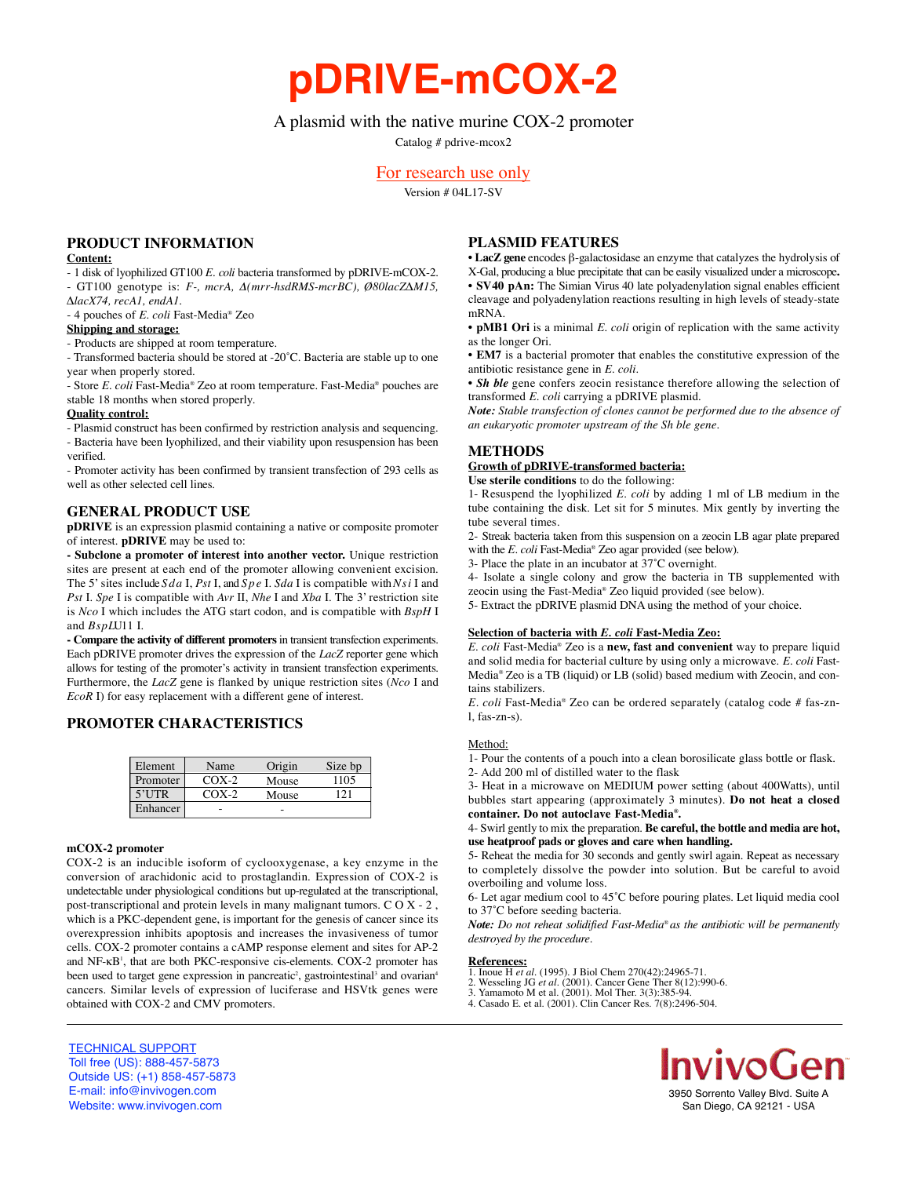**pDRIVE-mCOX-2**

# A plasmid with the native murine COX-2 promoter

Catalog # pdrive-mcox2

## For research use only

Version # 04L17-SV

## **PRODUCT INFORMATION**

### **Content:**

- 1 disk of lyophilized GT100 *E. coli* bacteria transformed by pDRIVE-mCOX-2. - GT100 genotype is: *F-, mcrA,* Δ*(mrr-hsdRMS-mcrBC), Ø80lacZ∆M15, ∆lacX74, recA1, endA1.*

- 4 pouches of *E. coli* Fast-Media® Zeo

#### **Shipping and storage:**

- Products are shipped at room temperature.

- Transformed bacteria should be stored at -20˚C. Bacteria are stable up to one year when properly stored.

- Store *E. coli* Fast-Media® Zeo at room temperature. Fast-Media® pouches are stable 18 months when stored properly.

#### **Quality control:**

- Plasmid construct has been confirmed by restriction analysis and sequencing. - Bacteria have been lyophilized, and their viability upon resuspension has been verified.

- Promoter activity has been confirmed by transient transfection of 293 cells as well as other selected cell lines.

## **GENERAL PRODUCT USE**

**pDRIVE** is an expression plasmid containing a native or composite promoter of interest. **pDRIVE** may be used to:

**- Subclone a promoter of interest into another vector.** Unique restriction sites are present at each end of the promoter allowing convenient excision. The 5' sites include *S d a* I, *Pst* I, and *Sp e* I. *Sda* I is compatible with *Nsi* I and *Pst* I. *Spe* I is compatible with *Avr* II, *Nhe* I and *Xba* I. The 3' restriction site is *Nco* I which includes the ATG start codon, and is compatible with  $BspH$  I and  $BspLU11$  I.

- Compare the activity of different promoters in transient transfection experiments. Each pDRIVE promoter drives the expression of the *LacZ* reporter gene which allows for testing of the promoter's activity in transient transfection experiments. Furthermore, the *LacZ* gene is flanked by unique restriction sites (*Nco* I and *EcoR* I) for easy replacement with a different gene of interest.

## **PROMOTER CHARACTERISTICS**

| Element  | Name    | Origin | Size bp |
|----------|---------|--------|---------|
| Promoter | $COX-2$ | Mouse  | 1105    |
| $5'$ UTR | $COX-2$ | Mouse  |         |
| Enhancer |         |        |         |

#### **mCOX-2 promoter**

COX-2 is an inducible isoform of cyclooxygenase, a key enzyme in the conversion of arachidonic acid to prostaglandin. Expression of COX-2 is undetectable under physiological conditions but up-regulated at the transcriptional, post-transcriptional and protein levels in many malignant tumors.  $C O X - 2$ , which is a PKC-dependent gene, is important for the genesis of cancer since its overexpression inhibits apoptosis and increases the invasiveness of tumor cells. COX-2 promoter contains a cAMP response element and sites for AP-2 and NF-κB<sup>1</sup>, that are both PKC-responsive cis-elements. COX-2 promoter has been used to target gene expression in pancreatic<sup>2</sup>, gastrointestinal<sup>3</sup> and ovarian<sup>4</sup> cancers. Similar levels of expression of luciferase and HSVtk genes were obtained with COX-2 and CMV promoters.

## **PLASMID FEATURES**

• **LacZ gene** encodes β-galactosidase an enzyme that catalyzes the hydrolysis of X-Gal, producing a blue precipitate that can be easily visualized under a microscope**.** • **SV40 pAn:** The Simian Virus 40 late polyadenylation signal enables efficient cleavage and polyadenylation reactions resulting in high levels of steady-state mRNA.

• **pMB1 Ori** is a minimal *E. coli* origin of replication with the same activity as the longer Ori.

• **EM7** is a bacterial promoter that enables the constitutive expression of the antibiotic resistance gene in *E. coli.*

• *Sh ble* gene confers zeocin resistance therefore allowing the selection of transformed *E. coli* carrying a pDRIVE plasmid.

*Note: Stable transfection of clones cannot be performed due to the absence of an eukaryotic promoter upstream of the Sh ble gene.*

## **METHODS**

## **Growth of pDRIVE-transformed bacteria:**

**Use sterile conditions** to do the following:

1- Resuspend the lyophilized *E. coli* by adding 1 ml of LB medium in the tube containing the disk. Let sit for 5 minutes. Mix gently by inverting the tube several times.

2- Streak bacteria taken from this suspension on a zeocin LB agar plate prepared with the *E. coli* Fast-Media<sup>®</sup> Zeo agar provided (see below).

3- Place the plate in an incubator at 37˚C overnight.

4- Isolate a single colony and grow the bacteria in TB supplemented with zeocin using the Fast-Media® Zeo liquid provided (see below).

5- Extract the pDRIVE plasmid DNA using the method of your choice.

### **Selection of bacteria with** *E. coli* **Fast-Media Zeo:**

*E. coli* Fast-Media® Zeo is a new, fast and convenient way to prepare liquid and solid media for bacterial culture by using only a microwave. *E. coli* Fast-Media® Zeo is a TB (liquid) or LB (solid) based medium with Zeocin, and contains stabilizers.

*E. coli* Fast-Media® Zeo can be ordered separately (catalog code # fas-znl, fas-zn-s).

## Method:

1- Pour the contents of a pouch into a clean borosilicate glass bottle or flask.

2- Add 200 ml of distilled water to the flask

3- Heat in a microwave on MEDIUM power setting (about 400Watts), until bubbles start appearing (approximately 3 minutes). **Do not heat a closed c o n t a i n e r. Do not autoclave Fast-Media® .**

4- Swirl gently to mix the preparation. **Be careful, the bottle and media are hot, use heatproof pads or gloves and care when handling.**

5- Reheat the media for 30 seconds and gently swirl again. Repeat as necessary to completely dissolve the powder into solution. But be careful to avoid overboiling and volume loss.

6- Let agar medium cool to 45˚C before pouring plates. Let liquid media cool to 37˚C before seeding bacteria.

*Note: Do not reheat solidified Fast-Media® as the antibiotic will be permanently*  $destroved by the procedure.$ 

- **References:**<br>1. Inoue H *et al*. (1995). J Biol Chem 270(42):24965-71.<br>2. Wesseling JG *et al*. (2001). Cancer Gene Ther 8(12):990-6.
- 3. Yamamoto M et al. (2001). Mol Ther. 3(3):385-94.
- 4. Casado E. et al. (2001). Clin Cancer Res. 7(8):2496-504.



3950 Sorrento Valley Blvd. Suite A San Diego, CA 92121 - USA

TECHNICAL SUPPORT Toll free (US): 888-457-5873 Outside US: (+1) 858-457-5873 E-mail: info@invivogen.com Website: www.invivogen.com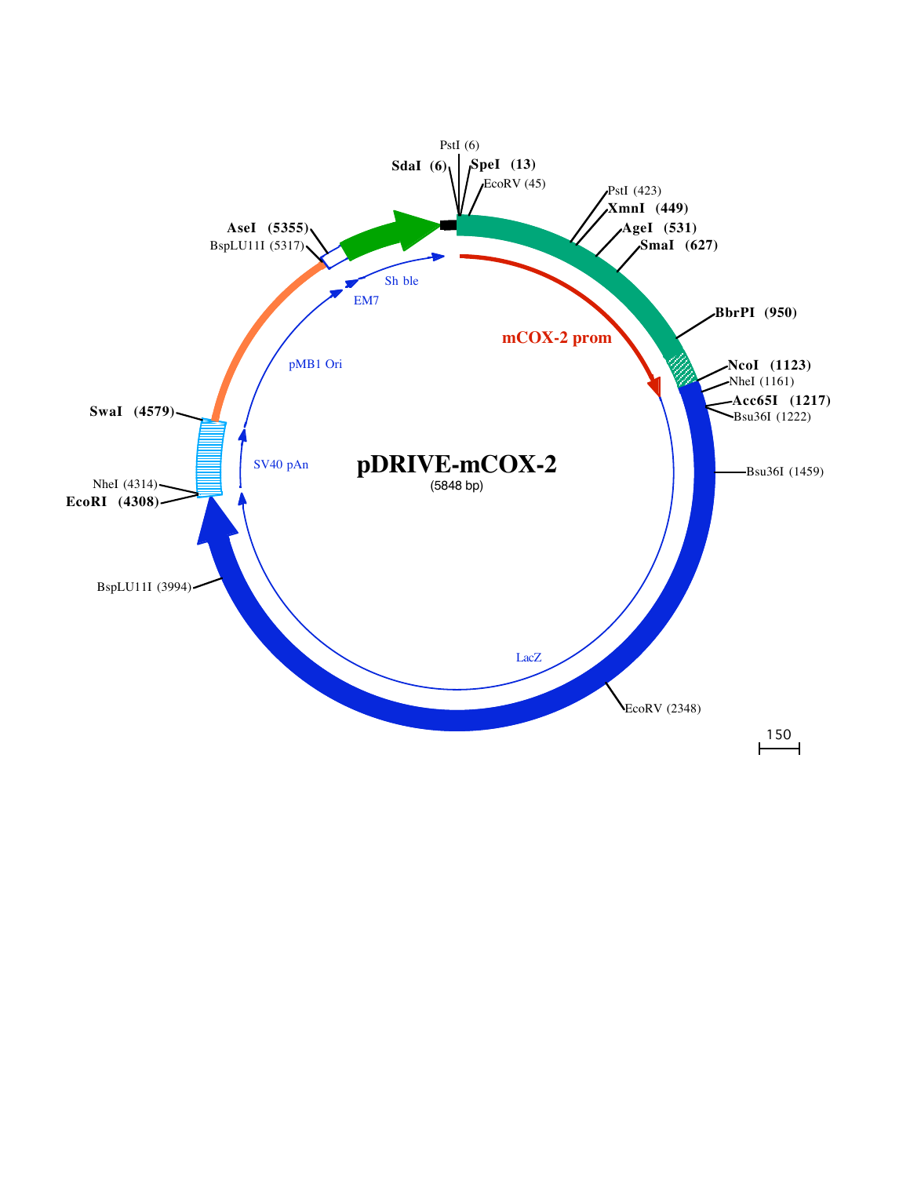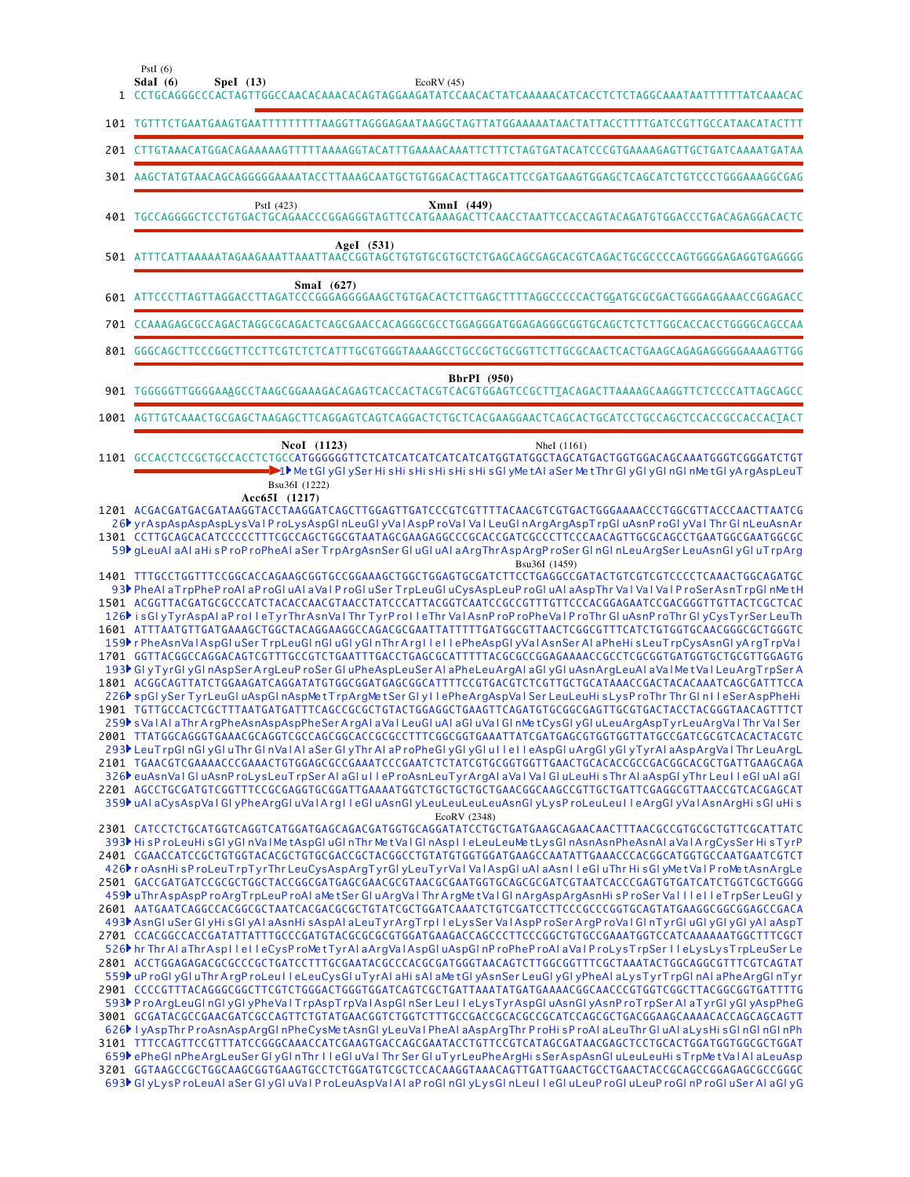| $\mathbf{1}$ | PstI $(6)$<br>Sdal $(6)$<br>Spel (13)<br>EcoRV(45)<br>CCTGCAGGGCCCACTAGTTGGCCAACACAAACACAGTAGGAAGATATCCAACACTATCAAAAACATCACCTCTCTAGGCAAATAATTTTTTATCAAACAC                                                                                                                                                                                                                                                                                                                                                                                                                                                                                                                                                                                                                                                                                                                                                                                                                                                                                                                                                                                                                                                                                                                                                                                                                                                                                                                                                                                                                                                                                                                                                                                                                                                                                                                                                                                                                                                                                                      |
|--------------|-----------------------------------------------------------------------------------------------------------------------------------------------------------------------------------------------------------------------------------------------------------------------------------------------------------------------------------------------------------------------------------------------------------------------------------------------------------------------------------------------------------------------------------------------------------------------------------------------------------------------------------------------------------------------------------------------------------------------------------------------------------------------------------------------------------------------------------------------------------------------------------------------------------------------------------------------------------------------------------------------------------------------------------------------------------------------------------------------------------------------------------------------------------------------------------------------------------------------------------------------------------------------------------------------------------------------------------------------------------------------------------------------------------------------------------------------------------------------------------------------------------------------------------------------------------------------------------------------------------------------------------------------------------------------------------------------------------------------------------------------------------------------------------------------------------------------------------------------------------------------------------------------------------------------------------------------------------------------------------------------------------------------------------------------------------------|
|              | 101 TGTTTCTGAATGAAGTGAATTTTTTTTTAAGGTTAGGGAGAATAAGGCTAGTTATGGAAAAATAACTATTACCTTTTGATCCGTTGCCATAACATACTTT                                                                                                                                                                                                                                                                                                                                                                                                                                                                                                                                                                                                                                                                                                                                                                                                                                                                                                                                                                                                                                                                                                                                                                                                                                                                                                                                                                                                                                                                                                                                                                                                                                                                                                                                                                                                                                                                                                                                                        |
|              |                                                                                                                                                                                                                                                                                                                                                                                                                                                                                                                                                                                                                                                                                                                                                                                                                                                                                                                                                                                                                                                                                                                                                                                                                                                                                                                                                                                                                                                                                                                                                                                                                                                                                                                                                                                                                                                                                                                                                                                                                                                                 |
|              | 301 AAGCTATGTAACAGCAGGGGGAAAATACCTTAAAGCAATGCTGTGGACACTTAGCATTCCGATGAAGTGGAGCTCAGCATCTGTCCCTGGGAAAGGCGAG                                                                                                                                                                                                                                                                                                                                                                                                                                                                                                                                                                                                                                                                                                                                                                                                                                                                                                                                                                                                                                                                                                                                                                                                                                                                                                                                                                                                                                                                                                                                                                                                                                                                                                                                                                                                                                                                                                                                                        |
|              | XmnI (449)<br>PstI (423)<br>401 TGCCAGGGGCTCCTGTGACTGCAGAACCCGGAGGGTAGTTCCATGAAAGACTTCAACCTAATTCCACCAGTACAGATGTGGACCCTGACAGAGGACACTC                                                                                                                                                                                                                                                                                                                                                                                                                                                                                                                                                                                                                                                                                                                                                                                                                                                                                                                                                                                                                                                                                                                                                                                                                                                                                                                                                                                                                                                                                                                                                                                                                                                                                                                                                                                                                                                                                                                            |
|              | AgeI (531)                                                                                                                                                                                                                                                                                                                                                                                                                                                                                                                                                                                                                                                                                                                                                                                                                                                                                                                                                                                                                                                                                                                                                                                                                                                                                                                                                                                                                                                                                                                                                                                                                                                                                                                                                                                                                                                                                                                                                                                                                                                      |
|              | SmaI (627)<br>601 ATTCCCTTAGTTAGGACCTTAGATCCCGGGAGGGGAAGCTGTGACACTCTTGAGCTTTTAGGCCCCCACTGGATGCGCGACTGGGAGGAAACCGGAGACC                                                                                                                                                                                                                                                                                                                                                                                                                                                                                                                                                                                                                                                                                                                                                                                                                                                                                                                                                                                                                                                                                                                                                                                                                                                                                                                                                                                                                                                                                                                                                                                                                                                                                                                                                                                                                                                                                                                                          |
|              | 701 CCAAAGAGCGCCAGACTAGGCGCAGACTCAGCGAACCACAGGGCGCCTGGAGGGATGGAGAGGGCGGTGCAGCTCTCTTGGCACCACCTGGGGCAGCCAA                                                                                                                                                                                                                                                                                                                                                                                                                                                                                                                                                                                                                                                                                                                                                                                                                                                                                                                                                                                                                                                                                                                                                                                                                                                                                                                                                                                                                                                                                                                                                                                                                                                                                                                                                                                                                                                                                                                                                        |
|              | 801 GGGCAGCTTCCCGGCTTCCTTCGTCTCTCATTTGCGTGGGTAAAAGCCTGCCGCTGCGGTTCTTGCGCAACTCACTGAAGCAGAGAGGGGGAAAAGTTGG                                                                                                                                                                                                                                                                                                                                                                                                                                                                                                                                                                                                                                                                                                                                                                                                                                                                                                                                                                                                                                                                                                                                                                                                                                                                                                                                                                                                                                                                                                                                                                                                                                                                                                                                                                                                                                                                                                                                                        |
|              | <b>BbrPI</b> (950)<br>901 TGGGGGTTGGGGAAAGCCTAAGCGGAAAGACAGAGTCACCACTACGTCACGTGGAGTCCGCTTTACAGACTTAAAAGCAAGGTTCTCCCCATTAGCAGCC                                                                                                                                                                                                                                                                                                                                                                                                                                                                                                                                                                                                                                                                                                                                                                                                                                                                                                                                                                                                                                                                                                                                                                                                                                                                                                                                                                                                                                                                                                                                                                                                                                                                                                                                                                                                                                                                                                                                  |
|              |                                                                                                                                                                                                                                                                                                                                                                                                                                                                                                                                                                                                                                                                                                                                                                                                                                                                                                                                                                                                                                                                                                                                                                                                                                                                                                                                                                                                                                                                                                                                                                                                                                                                                                                                                                                                                                                                                                                                                                                                                                                                 |
|              | <b>NcoI</b> (1123)<br>NheI (1161)<br>1101 GCCACCTCCGCTGCCACCTCTGCCATGGGGGGTTCTCATCATCATCATCATCATGGTATGGCTAGCATGACTGGTGGACAGCAAATGGGTCGGGATCTGT<br>- 1 Met GI y GI y Ser His His His His His His GI y Met AI a Ser Met Thr GI y GI y GI n GI n Met GI y Arg Asp Leu T<br>Bsu36I (1222)                                                                                                                                                                                                                                                                                                                                                                                                                                                                                                                                                                                                                                                                                                                                                                                                                                                                                                                                                                                                                                                                                                                                                                                                                                                                                                                                                                                                                                                                                                                                                                                                                                                                                                                                                                           |
|              | Acc65I (1217)<br>1201 ACGACGATGACGATAAGGTACCTAAGGATCAGCTTGGAGTTGATCCCGTCGTTTTACAACGTCGTGACTGGGAAAACCCTGGCGTTACCCAACTTAATCG<br>26 yr AspAspAspAspLysVal ProLysAspGI nLeuGI yVal AspProVal Val LeuGI nArgArgAspTrpGI uAsnProGI yVal Thr GI nLeuAsnAr<br>1301 CCTTGCAGCACATCCCCCTTTCGCCAGCTGGCGTAATAGCGAAGAGGCCCGCACCGATCGCCCTTCCCAACAGTTGCGCAGCCTGAATGGCGAATGGCGC<br>59 <sup>b</sup> gLeuAl aAl aHi sProProPheAl aSer TrpArgAsnSer GluGluAl aArgThrAspArgProSer GlnGlnLeuArgSer LeuAsnGlyGluTrpArg<br>Bsu36I (1459)<br>93 <sup>}</sup> PheAl aTrpPheProAl aProGluAl aVal ProGluSer TrpLeuGluCysAspLeuProGluAl aAspThr Val Val Val ProSerAsnTrpGlnMetH<br>1501 ACGGTTACGATGCGCCCATCTACACCAACGTAACCTATCCCATTACGGTCAATCCGCCGTTTGTTCCCACGGAGAATCCGACGGGTTGTTACTCGCTCAC<br>126 is GlyTyrAspAlaProlleTyrThrAsnValThrTyrProlleThrValAsnProProPheValProThrGluAsnProThrGlyCysTyrSerLeuTh<br>1601 ATTTAATGTTGATGAAAGCTGGCTACAGGAAGGCCAGACGCGAATTATTTTTGATGGCGTTAACTCGGCGTTTCATCTGTGGTGCAACGGGCGCTGGGTC<br>159 r PheAsnValAspGluSer TrpLeuGlnGluGlyGlnThr ArgllellePheAspGlyValAsnSer AlaPheHisLeuTrpCysAsnGlyArgTrpVal<br>1701 GGTTACGGCCAGGACAGTCGTTTGCCGTCTGAATTTGACCTGAGCGCATTTTTACGCGCCGGAGAAAACCGCCTCGCGGTGATGGTGCTGCGTTGGAGTG<br>193▶ GI yTyrGI yGI nAspSer ArgLeuProSer GI uPheAspLeuSer AI aPheLeuArgAI aGI yGI uAsnArgLeuAI aVaI MetVaI LeuArgTrpSer A<br>1801 ACGGCAGTTATCTGGAAGATCAGGATATGTGGCGGATGAGCGGCATTTTCCGTGACGTCTCGTTGCTGCATAAACCGACTACACAAATCAGCGATTTCCA<br>226▶ spGl ySer TyrLeuGl uAspGl nAspMetTrpArgMetSer Gl yIIePheArgAspValSer LeuLeuHisLysProThr Thr Gl nIIeSerAspPheHi<br>259▶ sValAlaThrArgPheAsnAspAspPheSerArgAlaValLeuGluAlaGluValGlnMetCysGlyGluLeuArgAspTyrLeuArgValThrValSer<br>2001 TTATGGCAGGGTGAAACGCAGGTCGCCAGCGGCACCGCGCCTTTCGGCGGTGAAATTATCGATGAGCGTGGTTATGCCGATCGCGTCACACTACGTC<br>293ÞLeuTrpGI nGI yGI uThr GI nVaIAI aSer GI yThr AI aP roPheGI yGI yGI uI I eI I eAspGI uArgGI yGI yTyrAI aAspArgVaI Thr LeuArgL<br>2101 TGAACGTCGAAAACCCGAAACTGTGGAGCGCCGAAATCCCGAATCTCTATCGTGCGGTGGTTGAACTGCACACCGCCGACGGCACGCTGATTGAAGCAGA |
|              | 326 <sup>b</sup> euAsnVal GluAsnProLysLeuTrpSer AlaGlulleProAsnLeuTyrArgAlaValValGluLeuHisThrAlaAspGlyThrLeuIleGluAlaGl<br>2201 AGCCTGCGATGTCGGTTTCCGCGAGGTGCGGATTGAAAATGGTCTGCTGCTGCTGAACGGCAAGCCGTTGCTGATTCGAGGCGTTAACCGTCACGAGCAT<br>359) uAI aCysAspVaIGI yPheArgGI uVaIArgIIeGI uAsnGI yLeuLeuLeuLeuAsnGI yLysProLeuLeuIIeArgGI yVaIAsnArgHisGI uHis<br>EcoRV (2348)<br>2301 CATCCTCTGCATGGTCAGGTCATGGATGAGCAGACGATGGTGCAGGATATCCTGCTGATGAAGCAGAACAACTTTAACGCCGTGCGCTGTTCGCATTATC                                                                                                                                                                                                                                                                                                                                                                                                                                                                                                                                                                                                                                                                                                                                                                                                                                                                                                                                                                                                                                                                                                                                                                                                                                                                                                                                                                                                                                                                                                                                                                          |
|              | 393) His ProLeuHis GIyGInVal MetAspGIuGInThr MetVal GInAspIleLeuLeuMetLysGInAsnAsnPheAsnAIaValArgCysSer HisTyrP<br>2401 CGAACCATCCGCTGTGGTACACGCTGTGCGACCGCTACGGCCTGTATGTGGTGGATGAAGCCAATATTGAAACCCACGGCATGGTGCCAATGAATCGTCT<br>426 <sup>t</sup> roAsnHisProLeuTrpTyrThrLeuCysAspArgTyrGIyLeuTyrVaIVaIAspGIuAIaAsnIIeGIuThrHisGIyMetVaIProMetAsnArgLe<br>2501 GACCGATGATCCGCGCTGGCTACCGGCGATGAGCGAACGCGTAACGCGAATGGTGCAGCGCGATCGTAATCACCCGAGTGTGATCATCTGGTCGCTGGGG<br>459 <sup>b</sup> uThrAspAspProArgTrpLeuProAlaMetSerGluArgValThrArgMetValGlnArgAspArgAsnHisProSerValllelleTrpSerLeuGly<br>493 AsnGl uSer GlyHisGlyAlaAsnHisAspAlaLeuTyrArgTrpIIeLysSer ValAspProSerArgProValGlnTyrGluGlyGlyGlyAlaAspT<br>2701 CCACGGCCACCGATATTATTTGCCCGATGTACGCGCGCGTGGATGAAGACCAGCCCTTCCCGGCTGTGCCGAAATGGTCCATCAAAAAATGGCTTTCGCT<br>526 <sup>★</sup> hr Thr AlaThr AspllelleCysProMetTyr AlaArgValAspGluAspGlnProPheProAlaValProLysTrpSer lleLysLysTrpLeuSer Le<br>2801 ACCTGGAGAGACGCGCCCGCTGATCCTTTGCGAATACGCCCACGCGATGGGTAACAGTCTTGGCGGTTTCGCTAAATACTGGCAGGCGTTTCGTCAGTAT<br>559) uProGlyGluThrArgProLeuIIeLeuCysGluTyrAlaHisAlaMetGlyAsnSerLeuGlyGlyPheAlaLysTyrTrpGlnAlaPheArgGlnTyr<br>2901 CCCCGTTTACAGGGCGGCTTCGTCTGGGACTGGGTGGATCAGTCGCTGATTAAATATGATGAAAACGGCAACCCGTGGTCGGCTTACGGCGGTGATTTTG<br>593▶ProArgLeuGInGIyGIyPheVaITrpAspTrpVaIAspGInSerLeuIIeLysTyrAspGIuAsnGIyAsnProTrpSerAIaTyrGIyAspPheG<br>3001 GCGATACGCCGAACGATCGCCAGTTCTGTATGAACGGTCTGGTCTTTGCCGACCGCACGCCGCATCCAGCGCTGACGGAAGCAAAACACCAGCAGCAGTT<br>626 lyAspThr ProAsnAspArgGlnPheCysMetAsnGlyLeuValPheAlaAspArgThr ProHisProAlaLeuThr GluAlaLysHisGlnGlnGlnPh<br>3101 TTTCCAGTTCCGTTTATCCGGGCAAACCATCGAAGTGACCAGCGAATACCTGTTCCGTCATAGCGATAACGAGCTCCTGCACTGGATGGTGGCGCTGGAT<br>659 ePheGInPheArgLeuSer GIyGInThr IIeGIuValThr Ser GIuTyrLeuPheArgHisSerAspAsnGIuLeuLeuHisTrpMetVaIAIaLeuAsp<br>693 ClyLysProLeuAlaSer GlyGluValProLeuAspValAlaProGlnGlyLysGlnLeuIleGluLeuProGluLeuProGlnProGlnSer AlaGlyG                                                                                   |